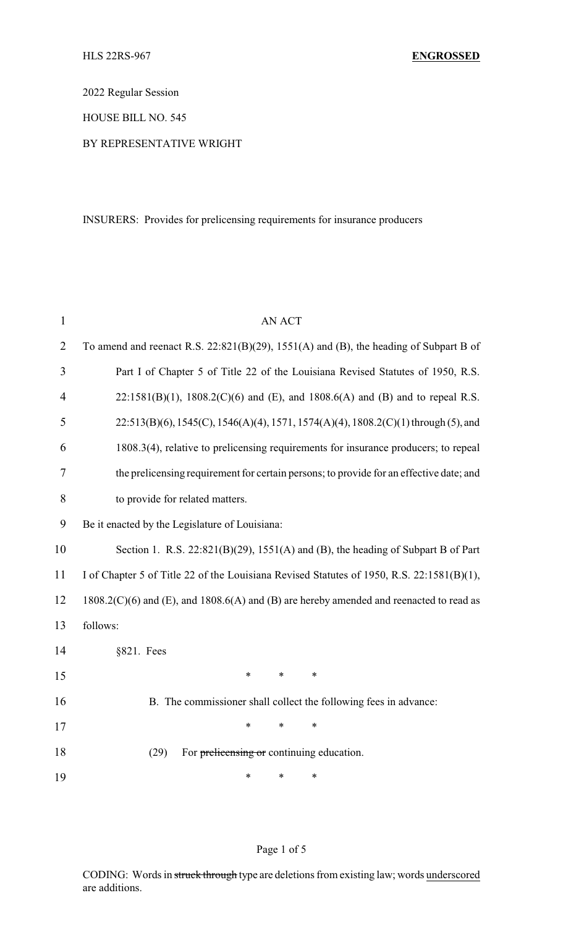2022 Regular Session

HOUSE BILL NO. 545

## BY REPRESENTATIVE WRIGHT

INSURERS: Provides for prelicensing requirements for insurance producers

| $\mathbf{1}$   | <b>AN ACT</b>                                                                                       |  |  |  |
|----------------|-----------------------------------------------------------------------------------------------------|--|--|--|
| $\overline{2}$ | To amend and reenact R.S. $22:821(B)(29)$ , $1551(A)$ and (B), the heading of Subpart B of          |  |  |  |
| 3              | Part I of Chapter 5 of Title 22 of the Louisiana Revised Statutes of 1950, R.S.                     |  |  |  |
| $\overline{4}$ | $22:1581(B)(1)$ , 1808.2(C)(6) and (E), and 1808.6(A) and (B) and to repeal R.S.                    |  |  |  |
| 5              | $22:513(B)(6)$ , $1545(C)$ , $1546(A)(4)$ , $1571$ , $1574(A)(4)$ , $1808.2(C)(1)$ through (5), and |  |  |  |
| 6              | 1808.3(4), relative to prelicensing requirements for insurance producers; to repeal                 |  |  |  |
| 7              | the prelicensing requirement for certain persons; to provide for an effective date; and             |  |  |  |
| 8              | to provide for related matters.                                                                     |  |  |  |
| 9              | Be it enacted by the Legislature of Louisiana:                                                      |  |  |  |
| 10             | Section 1. R.S. $22:821(B)(29)$ , $1551(A)$ and (B), the heading of Subpart B of Part               |  |  |  |
| 11             | I of Chapter 5 of Title 22 of the Louisiana Revised Statutes of 1950, R.S. 22:1581(B)(1),           |  |  |  |
| 12             | $1808.2(C)(6)$ and (E), and $1808.6(A)$ and (B) are hereby amended and reenacted to read as         |  |  |  |
| 13             | follows:                                                                                            |  |  |  |
| 14             | §821. Fees                                                                                          |  |  |  |
| 15             | $\ast$<br>$\ast$<br>$\ast$                                                                          |  |  |  |
| 16             | B. The commissioner shall collect the following fees in advance:                                    |  |  |  |
| 17             | $\ast$<br>$\ast$<br>$\ast$                                                                          |  |  |  |
| 18             | (29)<br>For prelicensing or continuing education.                                                   |  |  |  |
| 19             | $\ast$<br>∗<br>∗                                                                                    |  |  |  |

## Page 1 of 5

CODING: Words in struck through type are deletions from existing law; words underscored are additions.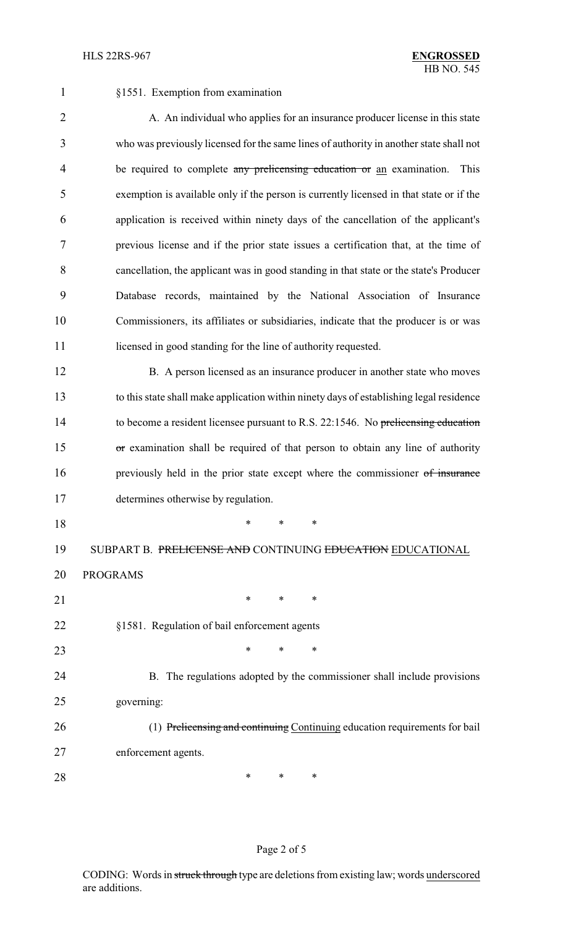§1551. Exemption from examination

2 A. An individual who applies for an insurance producer license in this state who was previously licensed for the same lines of authority in another state shall not 4 be required to complete any prelicensing education or an examination. This exemption is available only if the person is currently licensed in that state or if the application is received within ninety days of the cancellation of the applicant's previous license and if the prior state issues a certification that, at the time of cancellation, the applicant was in good standing in that state or the state's Producer Database records, maintained by the National Association of Insurance Commissioners, its affiliates or subsidiaries, indicate that the producer is or was 11 licensed in good standing for the line of authority requested.

12 B. A person licensed as an insurance producer in another state who moves to this state shall make application within ninety days of establishing legal residence to become a resident licensee pursuant to R.S. 22:1546. No prelicensing education 15 or examination shall be required of that person to obtain any line of authority 16 previously held in the prior state except where the commissioner of insurance determines otherwise by regulation.

\* \* \*

19 SUBPART B. PRELICENSE AND CONTINUING EDUCATION EDUCATIONAL

PROGRAMS

21 \* \* \* \* §1581. Regulation of bail enforcement agents

**\*** \* \* \*

 B. The regulations adopted by the commissioner shall include provisions governing:

 (1) Prelicensing and continuing Continuing education requirements for bail enforcement agents.

**\*** \* \* \*

## Page 2 of 5

CODING: Words in struck through type are deletions from existing law; words underscored are additions.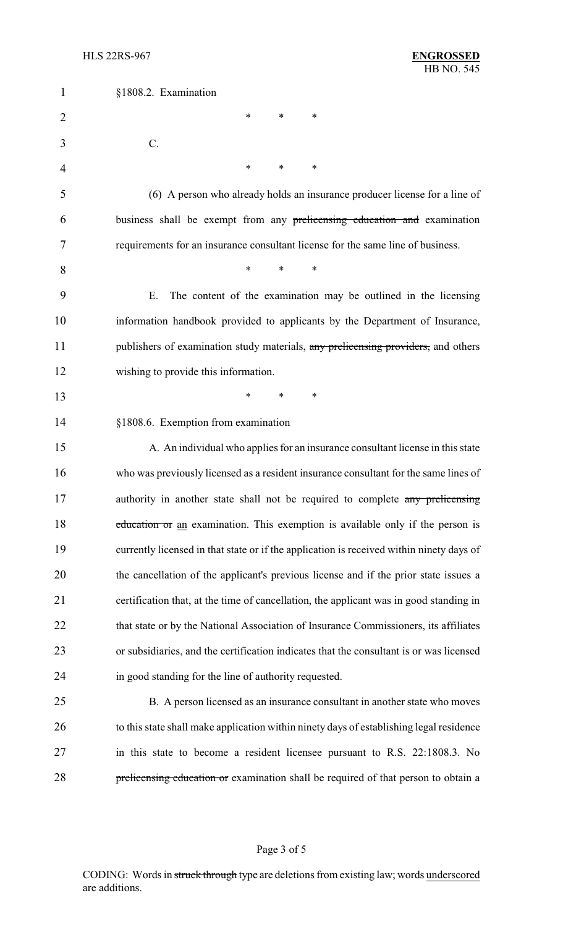| $\mathbf{1}$   | §1808.2. Examination                                                                     |
|----------------|------------------------------------------------------------------------------------------|
| $\overline{2}$ | *<br>∗<br>*                                                                              |
| 3              | C.                                                                                       |
| 4              | $\ast$<br>*<br>∗                                                                         |
| 5              | (6) A person who already holds an insurance producer license for a line of               |
| 6              | business shall be exempt from any prelicensing education and examination                 |
| 7              | requirements for an insurance consultant license for the same line of business.          |
| 8              | $\ast$<br>∗<br>*                                                                         |
| 9              | The content of the examination may be outlined in the licensing<br>Ε.                    |
| 10             | information handbook provided to applicants by the Department of Insurance,              |
| 11             | publishers of examination study materials, any prelicensing providers, and others        |
| 12             | wishing to provide this information.                                                     |
| 13             | ∗<br>*<br>$\ast$                                                                         |
| 14             | §1808.6. Exemption from examination                                                      |
| 15             | A. An individual who applies for an insurance consultant license in this state           |
| 16             | who was previously licensed as a resident insurance consultant for the same lines of     |
| 17             | authority in another state shall not be required to complete any prelicensing            |
| 18             | education or an examination. This exemption is available only if the person is           |
| 19             | currently licensed in that state or if the application is received within ninety days of |
| 20             | the cancellation of the applicant's previous license and if the prior state issues a     |
| 21             | certification that, at the time of cancellation, the applicant was in good standing in   |
| 22             | that state or by the National Association of Insurance Commissioners, its affiliates     |
| 23             | or subsidiaries, and the certification indicates that the consultant is or was licensed  |
| 24             | in good standing for the line of authority requested.                                    |
| 25             | B. A person licensed as an insurance consultant in another state who moves               |
| 26             | to this state shall make application within ninety days of establishing legal residence  |
| 27             | in this state to become a resident licensee pursuant to R.S. 22:1808.3. No               |
| 28             | prelicensing education or examination shall be required of that person to obtain a       |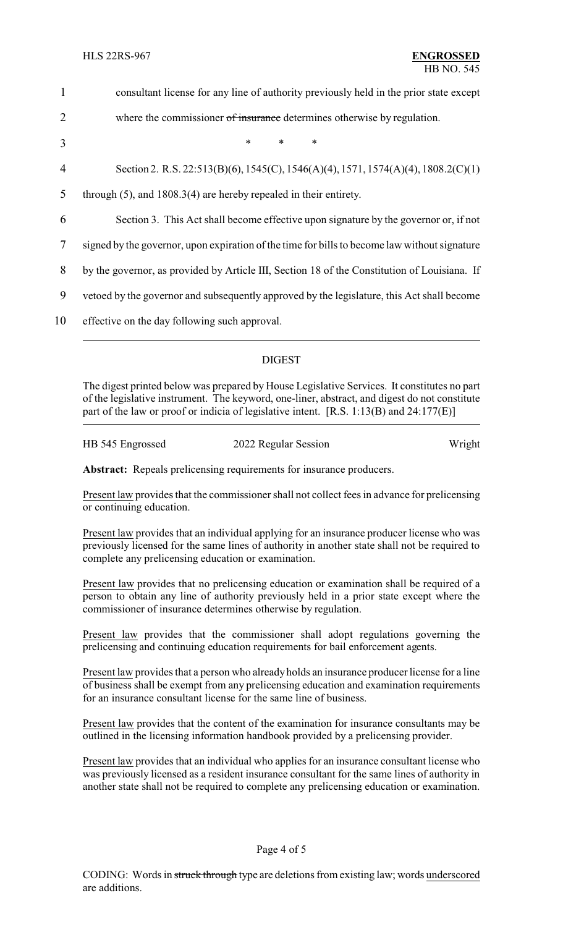| $\mathbf{1}$   | consultant license for any line of authority previously held in the prior state except        |  |
|----------------|-----------------------------------------------------------------------------------------------|--|
| $\overline{2}$ | where the commissioner of insurance determines otherwise by regulation.                       |  |
| 3              | $\ast$<br>$\ast$<br>$\ast$                                                                    |  |
| 4              | Section 2. R.S. 22:513(B)(6), 1545(C), 1546(A)(4), 1571, 1574(A)(4), 1808.2(C)(1)             |  |
| 5              | through $(5)$ , and $1808.3(4)$ are hereby repealed in their entirety.                        |  |
| 6              | Section 3. This Act shall become effective upon signature by the governor or, if not          |  |
| 7              | signed by the governor, upon expiration of the time for bills to become law without signature |  |
| 8              | by the governor, as provided by Article III, Section 18 of the Constitution of Louisiana. If  |  |
| 9              | vetoed by the governor and subsequently approved by the legislature, this Act shall become    |  |
| 10             | effective on the day following such approval.                                                 |  |
|                |                                                                                               |  |

## DIGEST

The digest printed below was prepared by House Legislative Services. It constitutes no part of the legislative instrument. The keyword, one-liner, abstract, and digest do not constitute part of the law or proof or indicia of legislative intent. [R.S. 1:13(B) and 24:177(E)]

| HB 545 Engrossed | 2022 Regular Session | Wright |
|------------------|----------------------|--------|
|                  |                      |        |

**Abstract:** Repeals prelicensing requirements for insurance producers.

Present law provides that the commissioner shall not collect fees in advance for prelicensing or continuing education.

Present law provides that an individual applying for an insurance producer license who was previously licensed for the same lines of authority in another state shall not be required to complete any prelicensing education or examination.

Present law provides that no prelicensing education or examination shall be required of a person to obtain any line of authority previously held in a prior state except where the commissioner of insurance determines otherwise by regulation.

Present law provides that the commissioner shall adopt regulations governing the prelicensing and continuing education requirements for bail enforcement agents.

Present law provides that a person who alreadyholds an insurance producer license for a line of business shall be exempt from any prelicensing education and examination requirements for an insurance consultant license for the same line of business.

Present law provides that the content of the examination for insurance consultants may be outlined in the licensing information handbook provided by a prelicensing provider.

Present law provides that an individual who applies for an insurance consultant license who was previously licensed as a resident insurance consultant for the same lines of authority in another state shall not be required to complete any prelicensing education or examination.